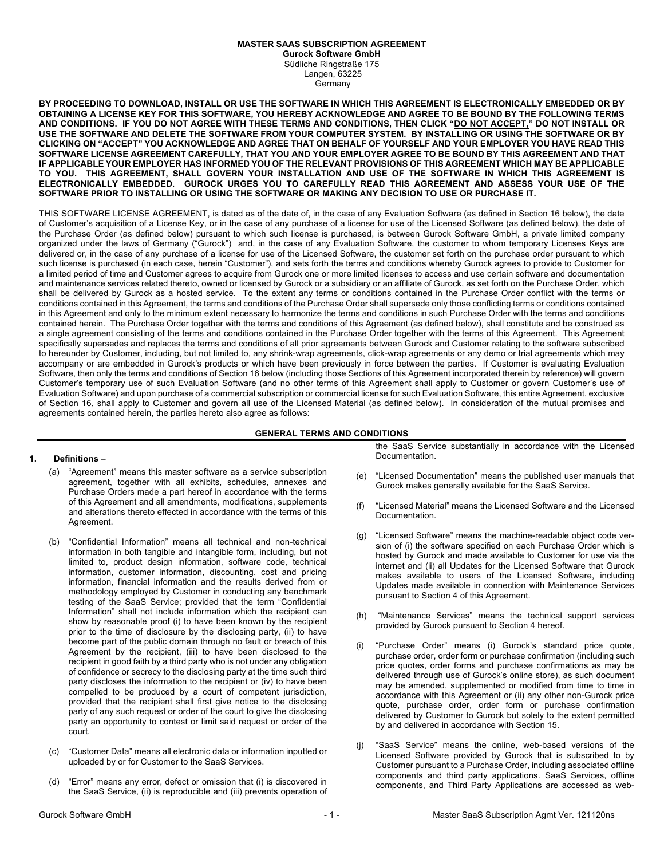# **MASTER SAAS SUBSCRIPTION AGREEMENT**

**Gurock Software GmbH** Südliche Ringstraße 175 Langen, 63225 **Germany** 

**BY PROCEEDING TO DOWNLOAD, INSTALL OR USE THE SOFTWARE IN WHICH THIS AGREEMENT IS ELECTRONICALLY EMBEDDED OR BY OBTAINING A LICENSE KEY FOR THIS SOFTWARE, YOU HEREBY ACKNOWLEDGE AND AGREE TO BE BOUND BY THE FOLLOWING TERMS AND CONDITIONS. IF YOU DO NOT AGREE WITH THESE TERMS AND CONDITIONS, THEN CLICK "DO NOT ACCEPT," DO NOT INSTALL OR USE THE SOFTWARE AND DELETE THE SOFTWARE FROM YOUR COMPUTER SYSTEM. BY INSTALLING OR USING THE SOFTWARE OR BY CLICKING ON "ACCEPT" YOU ACKNOWLEDGE AND AGREE THAT ON BEHALF OF YOURSELF AND YOUR EMPLOYER YOU HAVE READ THIS SOFTWARE LICENSE AGREEMENT CAREFULLY, THAT YOU AND YOUR EMPLOYER AGREE TO BE BOUND BY THIS AGREEMENT AND THAT IF APPLICABLE YOUR EMPLOYER HAS INFORMED YOU OF THE RELEVANT PROVISIONS OF THIS AGREEMENT WHICH MAY BE APPLICABLE TO YOU. THIS AGREEMENT, SHALL GOVERN YOUR INSTALLATION AND USE OF THE SOFTWARE IN WHICH THIS AGREEMENT IS ELECTRONICALLY EMBEDDED. GUROCK URGES YOU TO CAREFULLY READ THIS AGREEMENT AND ASSESS YOUR USE OF THE SOFTWARE PRIOR TO INSTALLING OR USING THE SOFTWARE OR MAKING ANY DECISION TO USE OR PURCHASE IT.**

THIS SOFTWARE LICENSE AGREEMENT, is dated as of the date of, in the case of any Evaluation Software (as defined in Section 16 below), the date of Customer's acquisition of a License Key, or in the case of any purchase of a license for use of the Licensed Software (as defined below), the date of the Purchase Order (as defined below) pursuant to which such license is purchased, is between Gurock Software GmbH, a private limited company organized under the laws of Germany ("Gurock") and, in the case of any Evaluation Software, the customer to whom temporary Licenses Keys are delivered or, in the case of any purchase of a license for use of the Licensed Software, the customer set forth on the purchase order pursuant to which such license is purchased (in each case, herein "Customer"), and sets forth the terms and conditions whereby Gurock agrees to provide to Customer for a limited period of time and Customer agrees to acquire from Gurock one or more limited licenses to access and use certain software and documentation and maintenance services related thereto, owned or licensed by Gurock or a subsidiary or an affiliate of Gurock, as set forth on the Purchase Order, which shall be delivered by Gurock as a hosted service. To the extent any terms or conditions contained in the Purchase Order conflict with the terms or conditions contained in this Agreement, the terms and conditions of the Purchase Order shall supersede only those conflicting terms or conditions contained in this Agreement and only to the minimum extent necessary to harmonize the terms and conditions in such Purchase Order with the terms and conditions contained herein. The Purchase Order together with the terms and conditions of this Agreement (as defined below), shall constitute and be construed as a single agreement consisting of the terms and conditions contained in the Purchase Order together with the terms of this Agreement. This Agreement specifically supersedes and replaces the terms and conditions of all prior agreements between Gurock and Customer relating to the software subscribed to hereunder by Customer, including, but not limited to, any shrink-wrap agreements, click-wrap agreements or any demo or trial agreements which may accompany or are embedded in Gurock's products or which have been previously in force between the parties. If Customer is evaluating Evaluation Software, then only the terms and conditions of Section 16 below (including those Sections of this Agreement incorporated therein by reference) will govern Customer's temporary use of such Evaluation Software (and no other terms of this Agreement shall apply to Customer or govern Customer's use of Evaluation Software) and upon purchase of a commercial subscription or commercial license for such Evaluation Software, this entire Agreement, exclusive of Section 16, shall apply to Customer and govern all use of the Licensed Material (as defined below). In consideration of the mutual promises and agreements contained herein, the parties hereto also agree as follows:

## **GENERAL TERMS AND CONDITIONS**

## **1. Definitions** –

- (a) "Agreement" means this master software as a service subscription agreement, together with all exhibits, schedules, annexes and Purchase Orders made a part hereof in accordance with the terms of this Agreement and all amendments, modifications, supplements and alterations thereto effected in accordance with the terms of this Agreement.
- (b) "Confidential Information" means all technical and non-technical information in both tangible and intangible form, including, but not limited to, product design information, software code, technical information, customer information, discounting, cost and pricing information, financial information and the results derived from or methodology employed by Customer in conducting any benchmark testing of the SaaS Service; provided that the term "Confidential Information" shall not include information which the recipient can show by reasonable proof (i) to have been known by the recipient prior to the time of disclosure by the disclosing party, (ii) to have become part of the public domain through no fault or breach of this Agreement by the recipient, (iii) to have been disclosed to the recipient in good faith by a third party who is not under any obligation of confidence or secrecy to the disclosing party at the time such third party discloses the information to the recipient or (iv) to have been compelled to be produced by a court of competent jurisdiction, provided that the recipient shall first give notice to the disclosing party of any such request or order of the court to give the disclosing party an opportunity to contest or limit said request or order of the court.
- (c) "Customer Data" means all electronic data or information inputted or uploaded by or for Customer to the SaaS Services.
- (d) "Error" means any error, defect or omission that (i) is discovered in the SaaS Service, (ii) is reproducible and (iii) prevents operation of

the SaaS Service substantially in accordance with the Licensed Documentation.

- (e) "Licensed Documentation" means the published user manuals that Gurock makes generally available for the SaaS Service.
- "Licensed Material" means the Licensed Software and the Licensed Documentation.
- (g) "Licensed Software" means the machine-readable object code version of (i) the software specified on each Purchase Order which is hosted by Gurock and made available to Customer for use via the internet and (ii) all Updates for the Licensed Software that Gurock makes available to users of the Licensed Software, including Updates made available in connection with Maintenance Services pursuant to Section 4 of this Agreement.
- (h) "Maintenance Services" means the technical support services provided by Gurock pursuant to Section 4 hereof.
- (i) "Purchase Order" means (i) Gurock's standard price quote, purchase order, order form or purchase confirmation (including such price quotes, order forms and purchase confirmations as may be delivered through use of Gurock's online store), as such document may be amended, supplemented or modified from time to time in accordance with this Agreement or (ii) any other non-Gurock price quote, purchase order, order form or purchase confirmation delivered by Customer to Gurock but solely to the extent permitted by and delivered in accordance with Section 15.
- (j) "SaaS Service" means the online, web-based versions of the Licensed Software provided by Gurock that is subscribed to by Customer pursuant to a Purchase Order, including associated offline components and third party applications. SaaS Services, offline components, and Third Party Applications are accessed as web-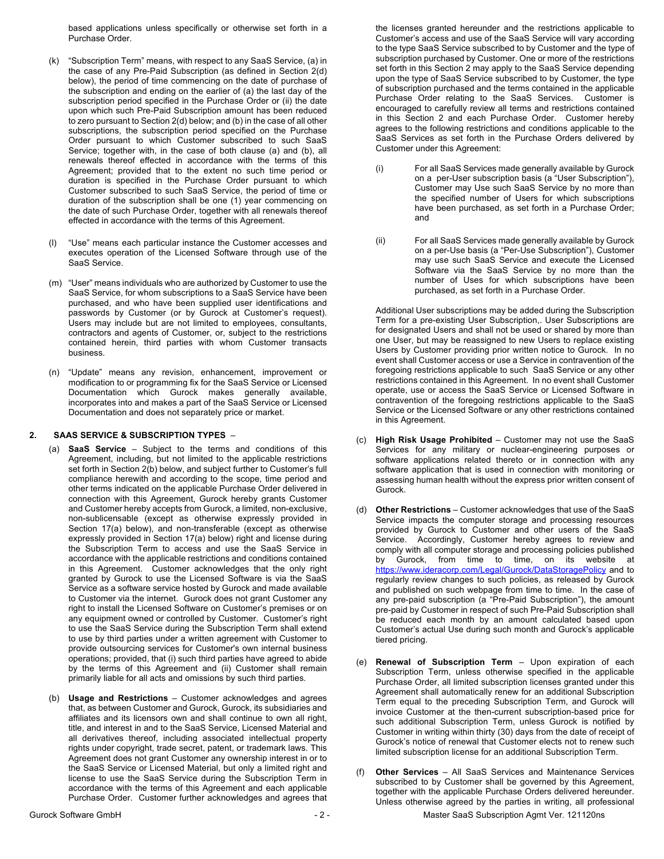based applications unless specifically or otherwise set forth in a Purchase Order.

- (k) "Subscription Term" means, with respect to any SaaS Service, (a) in the case of any Pre-Paid Subscription (as defined in Section 2(d) below), the period of time commencing on the date of purchase of the subscription and ending on the earlier of (a) the last day of the subscription period specified in the Purchase Order or (ii) the date upon which such Pre-Paid Subscription amount has been reduced to zero pursuant to Section 2(d) below; and (b) in the case of all other subscriptions, the subscription period specified on the Purchase Order pursuant to which Customer subscribed to such SaaS Service; together with, in the case of both clause (a) and (b), all renewals thereof effected in accordance with the terms of this Agreement; provided that to the extent no such time period or duration is specified in the Purchase Order pursuant to which Customer subscribed to such SaaS Service, the period of time or duration of the subscription shall be one (1) year commencing on the date of such Purchase Order, together with all renewals thereof effected in accordance with the terms of this Agreement.
- (l) "Use" means each particular instance the Customer accesses and executes operation of the Licensed Software through use of the SaaS Service.
- (m) "User" means individuals who are authorized by Customer to use the SaaS Service, for whom subscriptions to a SaaS Service have been purchased, and who have been supplied user identifications and passwords by Customer (or by Gurock at Customer's request). Users may include but are not limited to employees, consultants, contractors and agents of Customer, or, subject to the restrictions contained herein, third parties with whom Customer transacts business.
- (n) "Update" means any revision, enhancement, improvement or modification to or programming fix for the SaaS Service or Licensed Documentation which Gurock makes generally available, incorporates into and makes a part of the SaaS Service or Licensed Documentation and does not separately price or market.

## **2. SAAS SERVICE & SUBSCRIPTION TYPES** –

- (a) **SaaS Service** Subject to the terms and conditions of this Agreement, including, but not limited to the applicable restrictions set forth in Section 2(b) below, and subject further to Customer's full compliance herewith and according to the scope, time period and other terms indicated on the applicable Purchase Order delivered in connection with this Agreement, Gurock hereby grants Customer and Customer hereby accepts from Gurock, a limited, non-exclusive, non-sublicensable (except as otherwise expressly provided in Section 17(a) below), and non-transferable (except as otherwise expressly provided in Section 17(a) below) right and license during the Subscription Term to access and use the SaaS Service in accordance with the applicable restrictions and conditions contained in this Agreement. Customer acknowledges that the only right granted by Gurock to use the Licensed Software is via the SaaS Service as a software service hosted by Gurock and made available to Customer via the internet. Gurock does not grant Customer any right to install the Licensed Software on Customer's premises or on any equipment owned or controlled by Customer. Customer's right to use the SaaS Service during the Subscription Term shall extend to use by third parties under a written agreement with Customer to provide outsourcing services for Customer's own internal business operations; provided, that (i) such third parties have agreed to abide by the terms of this Agreement and (ii) Customer shall remain primarily liable for all acts and omissions by such third parties.
- (b) **Usage and Restrictions** Customer acknowledges and agrees that, as between Customer and Gurock, Gurock, its subsidiaries and affiliates and its licensors own and shall continue to own all right, title, and interest in and to the SaaS Service, Licensed Material and all derivatives thereof, including associated intellectual property rights under copyright, trade secret, patent, or trademark laws. This Agreement does not grant Customer any ownership interest in or to the SaaS Service or Licensed Material, but only a limited right and license to use the SaaS Service during the Subscription Term in accordance with the terms of this Agreement and each applicable Purchase Order. Customer further acknowledges and agrees that

the licenses granted hereunder and the restrictions applicable to Customer's access and use of the SaaS Service will vary according to the type SaaS Service subscribed to by Customer and the type of subscription purchased by Customer. One or more of the restrictions set forth in this Section 2 may apply to the SaaS Service depending upon the type of SaaS Service subscribed to by Customer, the type of subscription purchased and the terms contained in the applicable Purchase Order relating to the SaaS Services. Customer is encouraged to carefully review all terms and restrictions contained in this Section 2 and each Purchase Order. Customer hereby agrees to the following restrictions and conditions applicable to the SaaS Services as set forth in the Purchase Orders delivered by Customer under this Agreement:

- (i) For all SaaS Services made generally available by Gurock on a per-User subscription basis (a "User Subscription"), Customer may Use such SaaS Service by no more than the specified number of Users for which subscriptions have been purchased, as set forth in a Purchase Order; and
- (ii) For all SaaS Services made generally available by Gurock on a per-Use basis (a "Per-Use Subscription"), Customer may use such SaaS Service and execute the Licensed Software via the SaaS Service by no more than the number of Uses for which subscriptions have been purchased, as set forth in a Purchase Order.

Additional User subscriptions may be added during the Subscription Term for a pre-existing User Subscription,. User Subscriptions are for designated Users and shall not be used or shared by more than one User, but may be reassigned to new Users to replace existing Users by Customer providing prior written notice to Gurock. In no event shall Customer access or use a Service in contravention of the foregoing restrictions applicable to such SaaS Service or any other restrictions contained in this Agreement. In no event shall Customer operate, use or access the SaaS Service or Licensed Software in contravention of the foregoing restrictions applicable to the SaaS Service or the Licensed Software or any other restrictions contained in this Agreement.

- (c) **High Risk Usage Prohibited** Customer may not use the SaaS Services for any military or nuclear-engineering purposes or software applications related thereto or in connection with any software application that is used in connection with monitoring or assessing human health without the express prior written consent of Gurock.
- (d) **Other Restrictions**  Customer acknowledges that use of the SaaS Service impacts the computer storage and processing resources provided by Gurock to Customer and other users of the SaaS Service. Accordingly, Customer hereby agrees to review and comply with all computer storage and processing policies published by Gurock, from time to time, on its website at https://www.ideracorp.com/Legal/Gurock/DataStoragePolicy and to regularly review changes to such policies, as released by Gurock and published on such webpage from time to time. In the case of any pre-paid subscription (a "Pre-Paid Subscription"), the amount pre-paid by Customer in respect of such Pre-Paid Subscription shall be reduced each month by an amount calculated based upon Customer's actual Use during such month and Gurock's applicable tiered pricing.
- (e) **Renewal of Subscription Term** Upon expiration of each Subscription Term, unless otherwise specified in the applicable Purchase Order, all limited subscription licenses granted under this Agreement shall automatically renew for an additional Subscription Term equal to the preceding Subscription Term, and Gurock will invoice Customer at the then-current subscription-based price for such additional Subscription Term, unless Gurock is notified by Customer in writing within thirty (30) days from the date of receipt of Gurock's notice of renewal that Customer elects not to renew such limited subscription license for an additional Subscription Term.
- **Other Services** All SaaS Services and Maintenance Services subscribed to by Customer shall be governed by this Agreement, together with the applicable Purchase Orders delivered hereunder. Unless otherwise agreed by the parties in writing, all professional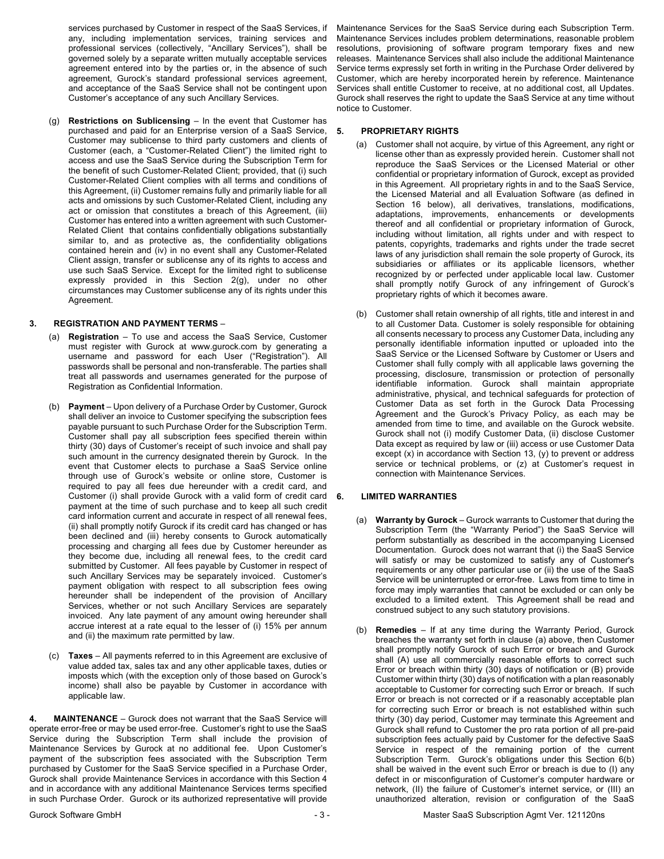services purchased by Customer in respect of the SaaS Services, if any, including implementation services, training services and professional services (collectively, "Ancillary Services"), shall be governed solely by a separate written mutually acceptable services agreement entered into by the parties or, in the absence of such agreement, Gurock's standard professional services agreement, and acceptance of the SaaS Service shall not be contingent upon Customer's acceptance of any such Ancillary Services.

(g) **Restrictions on Sublicensing** – In the event that Customer has purchased and paid for an Enterprise version of a SaaS Service, Customer may sublicense to third party customers and clients of Customer (each, a "Customer-Related Client") the limited right to access and use the SaaS Service during the Subscription Term for the benefit of such Customer-Related Client; provided, that (i) such Customer-Related Client complies with all terms and conditions of this Agreement, (ii) Customer remains fully and primarily liable for all acts and omissions by such Customer-Related Client, including any act or omission that constitutes a breach of this Agreement, (iii) Customer has entered into a written agreement with such Customer-Related Client that contains confidentially obligations substantially similar to, and as protective as, the confidentiality obligations contained herein and (iv) in no event shall any Customer-Related Client assign, transfer or sublicense any of its rights to access and use such SaaS Service. Except for the limited right to sublicense expressly provided in this Section 2(g), under no other circumstances may Customer sublicense any of its rights under this Agreement.

## **3. REGISTRATION AND PAYMENT TERMS** –

- (a) **Registration** To use and access the SaaS Service, Customer must register with Gurock at www.gurock.com by generating a username and password for each User ("Registration"). All passwords shall be personal and non-transferable. The parties shall treat all passwords and usernames generated for the purpose of Registration as Confidential Information.
- (b) **Payment** Upon delivery of a Purchase Order by Customer, Gurock shall deliver an invoice to Customer specifying the subscription fees payable pursuant to such Purchase Order for the Subscription Term. Customer shall pay all subscription fees specified therein within thirty (30) days of Customer's receipt of such invoice and shall pay such amount in the currency designated therein by Gurock. In the event that Customer elects to purchase a SaaS Service online through use of Gurock's website or online store, Customer is required to pay all fees due hereunder with a credit card, and Customer (i) shall provide Gurock with a valid form of credit card payment at the time of such purchase and to keep all such credit card information current and accurate in respect of all renewal fees, (ii) shall promptly notify Gurock if its credit card has changed or has been declined and (iii) hereby consents to Gurock automatically processing and charging all fees due by Customer hereunder as they become due, including all renewal fees, to the credit card submitted by Customer. All fees payable by Customer in respect of such Ancillary Services may be separately invoiced. Customer's payment obligation with respect to all subscription fees owing hereunder shall be independent of the provision of Ancillary Services, whether or not such Ancillary Services are separately invoiced. Any late payment of any amount owing hereunder shall accrue interest at a rate equal to the lesser of (i) 15% per annum and (ii) the maximum rate permitted by law.
- (c) **Taxes** All payments referred to in this Agreement are exclusive of value added tax, sales tax and any other applicable taxes, duties or imposts which (with the exception only of those based on Gurock's income) shall also be payable by Customer in accordance with applicable law.

**4. MAINTENANCE** – Gurock does not warrant that the SaaS Service will operate error-free or may be used error-free. Customer's right to use the SaaS Service during the Subscription Term shall include the provision of Maintenance Services by Gurock at no additional fee. Upon Customer's payment of the subscription fees associated with the Subscription Term purchased by Customer for the SaaS Service specified in a Purchase Order, Gurock shall provide Maintenance Services in accordance with this Section 4 and in accordance with any additional Maintenance Services terms specified in such Purchase Order. Gurock or its authorized representative will provide

Maintenance Services for the SaaS Service during each Subscription Term. Maintenance Services includes problem determinations, reasonable problem resolutions, provisioning of software program temporary fixes and new releases. Maintenance Services shall also include the additional Maintenance Service terms expressly set forth in writing in the Purchase Order delivered by Customer, which are hereby incorporated herein by reference. Maintenance Services shall entitle Customer to receive, at no additional cost, all Updates. Gurock shall reserves the right to update the SaaS Service at any time without notice to Customer.

# **5. PROPRIETARY RIGHTS**

- (a) Customer shall not acquire, by virtue of this Agreement, any right or license other than as expressly provided herein. Customer shall not reproduce the SaaS Services or the Licensed Material or other confidential or proprietary information of Gurock, except as provided in this Agreement. All proprietary rights in and to the SaaS Service, the Licensed Material and all Evaluation Software (as defined in Section 16 below), all derivatives, translations, modifications, adaptations, improvements, enhancements or developments thereof and all confidential or proprietary information of Gurock, including without limitation, all rights under and with respect to patents, copyrights, trademarks and rights under the trade secret laws of any jurisdiction shall remain the sole property of Gurock, its subsidiaries or affiliates or its applicable licensors, whether recognized by or perfected under applicable local law. Customer shall promptly notify Gurock of any infringement of Gurock's proprietary rights of which it becomes aware.
- (b) Customer shall retain ownership of all rights, title and interest in and to all Customer Data. Customer is solely responsible for obtaining all consents necessary to process any Customer Data, including any personally identifiable information inputted or uploaded into the SaaS Service or the Licensed Software by Customer or Users and Customer shall fully comply with all applicable laws governing the processing, disclosure, transmission or protection of personally identifiable information. Gurock shall maintain appropriate administrative, physical, and technical safeguards for protection of Customer Data as set forth in the Gurock Data Processing Agreement and the Gurock's Privacy Policy, as each may be amended from time to time, and available on the Gurock website. Gurock shall not (i) modify Customer Data, (ii) disclose Customer Data except as required by law or (iii) access or use Customer Data except (x) in accordance with Section 13, (y) to prevent or address service or technical problems, or (z) at Customer's request in connection with Maintenance Services.

# **6. LIMITED WARRANTIES**

- (a) **Warranty by Gurock** Gurock warrants to Customer that during the Subscription Term (the "Warranty Period") the SaaS Service will perform substantially as described in the accompanying Licensed Documentation. Gurock does not warrant that (i) the SaaS Service will satisfy or may be customized to satisfy any of Customer's requirements or any other particular use or (ii) the use of the SaaS Service will be uninterrupted or error-free. Laws from time to time in force may imply warranties that cannot be excluded or can only be excluded to a limited extent. This Agreement shall be read and construed subject to any such statutory provisions.
- (b) **Remedies**  If at any time during the Warranty Period, Gurock breaches the warranty set forth in clause (a) above, then Customer shall promptly notify Gurock of such Error or breach and Gurock shall (A) use all commercially reasonable efforts to correct such Error or breach within thirty (30) days of notification or (B) provide Customer within thirty (30) days of notification with a plan reasonably acceptable to Customer for correcting such Error or breach. If such Error or breach is not corrected or if a reasonably acceptable plan for correcting such Error or breach is not established within such thirty (30) day period, Customer may terminate this Agreement and Gurock shall refund to Customer the pro rata portion of all pre-paid subscription fees actually paid by Customer for the defective SaaS Service in respect of the remaining portion of the current Subscription Term. Gurock's obligations under this Section 6(b) shall be waived in the event such Error or breach is due to (I) any defect in or misconfiguration of Customer's computer hardware or network, (II) the failure of Customer's internet service, or (III) an unauthorized alteration, revision or configuration of the SaaS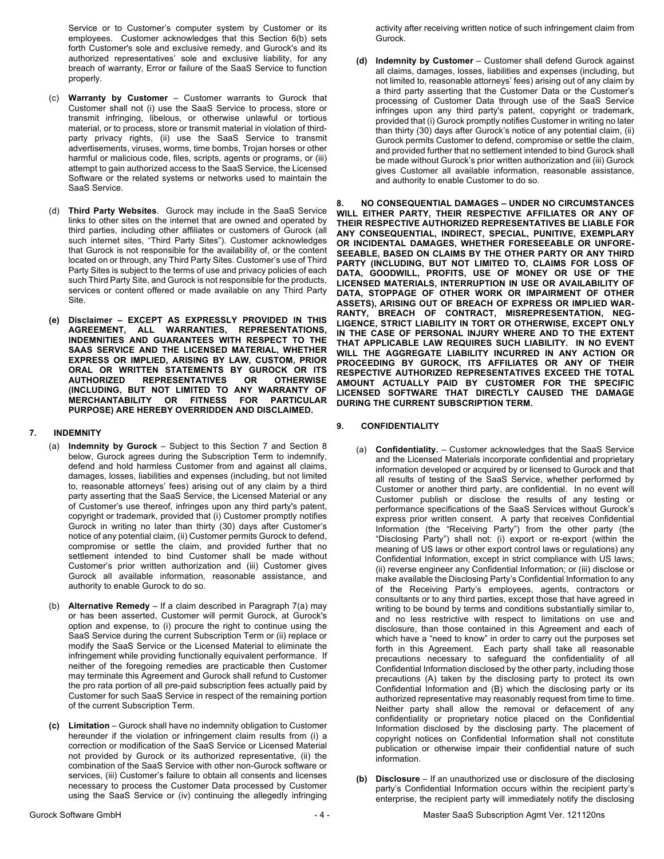Service or to Customer's computer system by Customer or its employees. Customer acknowledges that this Section 6(b) sets forth Customer's sole and exclusive remedy, and Gurock's and its authorized representatives' sole and exclusive liability, for any breach of warranty, Error or failure of the SaaS Service to function properly.

- (c) **Warranty by Customer**  Customer warrants to Gurock that Customer shall not (i) use the SaaS Service to process, store or transmit infringing, libelous, or otherwise unlawful or tortious material, or to process, store or transmit material in violation of thirdparty privacy rights, (ii) use the SaaS Service to transmit advertisements, viruses, worms, time bombs, Trojan horses or other harmful or malicious code, files, scripts, agents or programs, or (iii) attempt to gain authorized access to the SaaS Service, the Licensed Software or the related systems or networks used to maintain the SaaS Service.
- (d) **Third Party Websites**. Gurock may include in the SaaS Service links to other sites on the internet that are owned and operated by third parties, including other affiliates or customers of Gurock (all such internet sites, "Third Party Sites"). Customer acknowledges that Gurock is not responsible for the availability of, or the content located on or through, any Third Party Sites. Customer's use of Third Party Sites is subject to the terms of use and privacy policies of each such Third Party Site, and Gurock is not responsible for the products, services or content offered or made available on any Third Party Site.
- **(e) Disclaimer – EXCEPT AS EXPRESSLY PROVIDED IN THIS AGREEMENT, ALL WARRANTIES, REPRESENTATIONS, INDEMNITIES AND GUARANTEES WITH RESPECT TO THE SAAS SERVICE AND THE LICENSED MATERIAL, WHETHER EXPRESS OR IMPLIED, ARISING BY LAW, CUSTOM, PRIOR ORAL OR WRITTEN STATEMENTS BY GUROCK OR ITS AUTHORIZED REPRESENTATIVES OR OTHERWISE (INCLUDING, BUT NOT LIMITED TO ANY WARRANTY OF MERCHANTABILITY OR FITNESS FOR PARTICULAR PURPOSE) ARE HEREBY OVERRIDDEN AND DISCLAIMED.**

## **7. INDEMNITY**

- (a) **Indemnity by Gurock** Subject to this Section 7 and Section 8 below, Gurock agrees during the Subscription Term to indemnify, defend and hold harmless Customer from and against all claims, damages, losses, liabilities and expenses (including, but not limited to, reasonable attorneys' fees) arising out of any claim by a third party asserting that the SaaS Service, the Licensed Material or any of Customer's use thereof, infringes upon any third party's patent, copyright or trademark, provided that (i) Customer promptly notifies Gurock in writing no later than thirty (30) days after Customer's notice of any potential claim, (ii) Customer permits Gurock to defend, compromise or settle the claim, and provided further that no settlement intended to bind Customer shall be made without Customer's prior written authorization and (iii) Customer gives Gurock all available information, reasonable assistance, and authority to enable Gurock to do so.
- (b) **Alternative Remedy** If a claim described in Paragraph 7(a) may or has been asserted, Customer will permit Gurock, at Gurock's option and expense, to (i) procure the right to continue using the SaaS Service during the current Subscription Term or (ii) replace or modify the SaaS Service or the Licensed Material to eliminate the infringement while providing functionally equivalent performance. If neither of the foregoing remedies are practicable then Customer may terminate this Agreement and Gurock shall refund to Customer the pro rata portion of all pre-paid subscription fees actually paid by Customer for such SaaS Service in respect of the remaining portion of the current Subscription Term.
- **(c) Limitation** Gurock shall have no indemnity obligation to Customer hereunder if the violation or infringement claim results from (i) a correction or modification of the SaaS Service or Licensed Material not provided by Gurock or its authorized representative, (ii) the combination of the SaaS Service with other non-Gurock software or services, (iii) Customer's failure to obtain all consents and licenses necessary to process the Customer Data processed by Customer using the SaaS Service or (iv) continuing the allegedly infringing

activity after receiving written notice of such infringement claim from Gurock.

**(d) Indemnity by Customer** – Customer shall defend Gurock against all claims, damages, losses, liabilities and expenses (including, but not limited to, reasonable attorneys' fees) arising out of any claim by a third party asserting that the Customer Data or the Customer's processing of Customer Data through use of the SaaS Service infringes upon any third party's patent, copyright or trademark, provided that (i) Gurock promptly notifies Customer in writing no later than thirty (30) days after Gurock's notice of any potential claim, (ii) Gurock permits Customer to defend, compromise or settle the claim, and provided further that no settlement intended to bind Gurock shall be made without Gurock's prior written authorization and (iii) Gurock gives Customer all available information, reasonable assistance, and authority to enable Customer to do so.

**8. NO CONSEQUENTIAL DAMAGES – UNDER NO CIRCUMSTANCES WILL EITHER PARTY, THEIR RESPECTIVE AFFILIATES OR ANY OF THEIR RESPECTIVE AUTHORIZED REPRESENTATIVES BE LIABLE FOR ANY CONSEQUENTIAL, INDIRECT, SPECIAL, PUNITIVE, EXEMPLARY OR INCIDENTAL DAMAGES, WHETHER FORESEEABLE OR UNFORE-SEEABLE, BASED ON CLAIMS BY THE OTHER PARTY OR ANY THIRD PARTY (INCLUDING, BUT NOT LIMITED TO, CLAIMS FOR LOSS OF DATA, GOODWILL, PROFITS, USE OF MONEY OR USE OF THE LICENSED MATERIALS, INTERRUPTION IN USE OR AVAILABILITY OF DATA, STOPPAGE OF OTHER WORK OR IMPAIRMENT OF OTHER ASSETS), ARISING OUT OF BREACH OF EXPRESS OR IMPLIED WAR-RANTY, BREACH OF CONTRACT, MISREPRESENTATION, NEG-LIGENCE, STRICT LIABILITY IN TORT OR OTHERWISE, EXCEPT ONLY IN THE CASE OF PERSONAL INJURY WHERE AND TO THE EXTENT THAT APPLICABLE LAW REQUIRES SUCH LIABILITY. IN NO EVENT WILL THE AGGREGATE LIABILITY INCURRED IN ANY ACTION OR PROCEEDING BY GUROCK, ITS AFFILIATES OR ANY OF THEIR RESPECTIVE AUTHORIZED REPRESENTATIVES EXCEED THE TOTAL AMOUNT ACTUALLY PAID BY CUSTOMER FOR THE SPECIFIC LICENSED SOFTWARE THAT DIRECTLY CAUSED THE DAMAGE DURING THE CURRENT SUBSCRIPTION TERM.**

- **9. CONFIDENTIALITY** 
	- (a) **Confidentiality.** Customer acknowledges that the SaaS Service and the Licensed Materials incorporate confidential and proprietary information developed or acquired by or licensed to Gurock and that all results of testing of the SaaS Service, whether performed by Customer or another third party, are confidential. In no event will Customer publish or disclose the results of any testing or performance specifications of the SaaS Services without Gurock's express prior written consent. A party that receives Confidential Information (the "Receiving Party") from the other party (the "Disclosing Party") shall not: (i) export or re-export (within the meaning of US laws or other export control laws or regulations) any Confidential Information, except in strict compliance with US laws; (ii) reverse engineer any Confidential Information; or (iii) disclose or make available the Disclosing Party's Confidential Information to any of the Receiving Party's employees, agents, contractors or consultants or to any third parties, except those that have agreed in writing to be bound by terms and conditions substantially similar to, and no less restrictive with respect to limitations on use and disclosure, than those contained in this Agreement and each of which have a "need to know" in order to carry out the purposes set forth in this Agreement. Each party shall take all reasonable precautions necessary to safeguard the confidentiality of all Confidential Information disclosed by the other party, including those precautions (A) taken by the disclosing party to protect its own Confidential Information and (B) which the disclosing party or its authorized representative may reasonably request from time to time. Neither party shall allow the removal or defacement of any confidentiality or proprietary notice placed on the Confidential Information disclosed by the disclosing party. The placement of copyright notices on Confidential Information shall not constitute publication or otherwise impair their confidential nature of such information.
	- **(b) Disclosure**  If an unauthorized use or disclosure of the disclosing party's Confidential Information occurs within the recipient party's enterprise, the recipient party will immediately notify the disclosing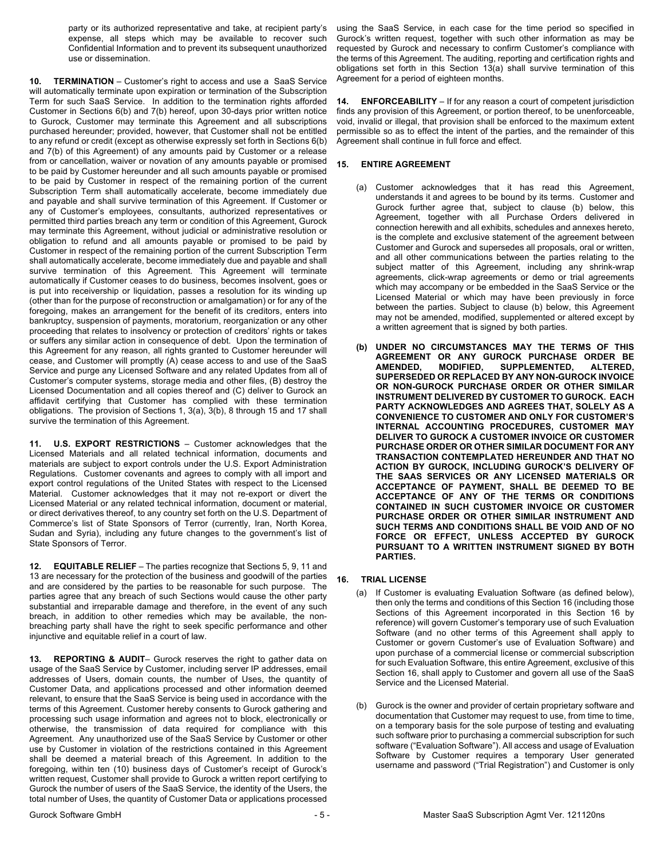party or its authorized representative and take, at recipient party's expense, all steps which may be available to recover such Confidential Information and to prevent its subsequent unauthorized use or dissemination.

**10. TERMINATION** – Customer's right to access and use a SaaS Service will automatically terminate upon expiration or termination of the Subscription Term for such SaaS Service. In addition to the termination rights afforded Customer in Sections 6(b) and 7(b) hereof, upon 30-days prior written notice to Gurock, Customer may terminate this Agreement and all subscriptions purchased hereunder; provided, however, that Customer shall not be entitled to any refund or credit (except as otherwise expressly set forth in Sections 6(b) and 7(b) of this Agreement) of any amounts paid by Customer or a release from or cancellation, waiver or novation of any amounts payable or promised to be paid by Customer hereunder and all such amounts payable or promised to be paid by Customer in respect of the remaining portion of the current Subscription Term shall automatically accelerate, become immediately due and payable and shall survive termination of this Agreement. If Customer or any of Customer's employees, consultants, authorized representatives or permitted third parties breach any term or condition of this Agreement, Gurock may terminate this Agreement, without judicial or administrative resolution or obligation to refund and all amounts payable or promised to be paid by Customer in respect of the remaining portion of the current Subscription Term shall automatically accelerate, become immediately due and payable and shall survive termination of this Agreement. This Agreement will terminate automatically if Customer ceases to do business, becomes insolvent, goes or is put into receivership or liquidation, passes a resolution for its winding up (other than for the purpose of reconstruction or amalgamation) or for any of the foregoing, makes an arrangement for the benefit of its creditors, enters into bankruptcy, suspension of payments, moratorium, reorganization or any other proceeding that relates to insolvency or protection of creditors' rights or takes or suffers any similar action in consequence of debt. Upon the termination of this Agreement for any reason, all rights granted to Customer hereunder will cease, and Customer will promptly (A) cease access to and use of the SaaS Service and purge any Licensed Software and any related Updates from all of Customer's computer systems, storage media and other files, (B) destroy the Licensed Documentation and all copies thereof and (C) deliver to Gurock an affidavit certifying that Customer has complied with these termination obligations. The provision of Sections 1, 3(a), 3(b), 8 through 15 and 17 shall survive the termination of this Agreement.

**11. U.S. EXPORT RESTRICTIONS** – Customer acknowledges that the Licensed Materials and all related technical information, documents and materials are subject to export controls under the U.S. Export Administration Regulations. Customer covenants and agrees to comply with all import and export control regulations of the United States with respect to the Licensed Material. Customer acknowledges that it may not re-export or divert the Licensed Material or any related technical information, document or material, or direct derivatives thereof, to any country set forth on the U.S. Department of Commerce's list of State Sponsors of Terror (currently, Iran, North Korea, Sudan and Syria), including any future changes to the government's list of State Sponsors of Terror.

**12. EQUITABLE RELIEF** – The parties recognize that Sections 5, 9, 11 and 13 are necessary for the protection of the business and goodwill of the parties and are considered by the parties to be reasonable for such purpose. The parties agree that any breach of such Sections would cause the other party substantial and irreparable damage and therefore, in the event of any such breach, in addition to other remedies which may be available, the nonbreaching party shall have the right to seek specific performance and other injunctive and equitable relief in a court of law.

**13. REPORTING & AUDIT**– Gurock reserves the right to gather data on usage of the SaaS Service by Customer, including server IP addresses, email addresses of Users, domain counts, the number of Uses, the quantity of Customer Data, and applications processed and other information deemed relevant, to ensure that the SaaS Service is being used in accordance with the terms of this Agreement. Customer hereby consents to Gurock gathering and processing such usage information and agrees not to block, electronically or otherwise, the transmission of data required for compliance with this Agreement. Any unauthorized use of the SaaS Service by Customer or other use by Customer in violation of the restrictions contained in this Agreement shall be deemed a material breach of this Agreement. In addition to the foregoing, within ten (10) business days of Customer's receipt of Gurock's written request, Customer shall provide to Gurock a written report certifying to Gurock the number of users of the SaaS Service, the identity of the Users, the total number of Uses, the quantity of Customer Data or applications processed

using the SaaS Service, in each case for the time period so specified in Gurock's written request, together with such other information as may be requested by Gurock and necessary to confirm Customer's compliance with the terms of this Agreement. The auditing, reporting and certification rights and obligations set forth in this Section 13(a) shall survive termination of this Agreement for a period of eighteen months.

**14. ENFORCEABILITY** – If for any reason a court of competent jurisdiction finds any provision of this Agreement, or portion thereof, to be unenforceable, void, invalid or illegal, that provision shall be enforced to the maximum extent permissible so as to effect the intent of the parties, and the remainder of this Agreement shall continue in full force and effect.

# **15. ENTIRE AGREEMENT**

- (a) Customer acknowledges that it has read this Agreement, understands it and agrees to be bound by its terms. Customer and Gurock further agree that, subject to clause (b) below, this Agreement, together with all Purchase Orders delivered in connection herewith and all exhibits, schedules and annexes hereto, is the complete and exclusive statement of the agreement between Customer and Gurock and supersedes all proposals, oral or written, and all other communications between the parties relating to the subject matter of this Agreement, including any shrink-wrap agreements, click-wrap agreements or demo or trial agreements which may accompany or be embedded in the SaaS Service or the Licensed Material or which may have been previously in force between the parties. Subject to clause (b) below, this Agreement may not be amended, modified, supplemented or altered except by a written agreement that is signed by both parties.
- **(b) UNDER NO CIRCUMSTANCES MAY THE TERMS OF THIS AGREEMENT OR ANY GUROCK PURCHASE ORDER BE AMENDED, MODIFIED, SUPPLEMENTED, ALTERED, SUPERSEDED OR REPLACED BY ANY NON-GUROCK INVOICE OR NON-GUROCK PURCHASE ORDER OR OTHER SIMILAR INSTRUMENT DELIVERED BY CUSTOMER TO GUROCK. EACH PARTY ACKNOWLEDGES AND AGREES THAT, SOLELY AS A CONVENIENCE TO CUSTOMER AND ONLY FOR CUSTOMER'S INTERNAL ACCOUNTING PROCEDURES, CUSTOMER MAY DELIVER TO GUROCK A CUSTOMER INVOICE OR CUSTOMER PURCHASE ORDER OR OTHER SIMILAR DOCUMENT FOR ANY TRANSACTION CONTEMPLATED HEREUNDER AND THAT NO ACTION BY GUROCK, INCLUDING GUROCK'S DELIVERY OF THE SAAS SERVICES OR ANY LICENSED MATERIALS OR ACCEPTANCE OF PAYMENT, SHALL BE DEEMED TO BE ACCEPTANCE OF ANY OF THE TERMS OR CONDITIONS CONTAINED IN SUCH CUSTOMER INVOICE OR CUSTOMER PURCHASE ORDER OR OTHER SIMILAR INSTRUMENT AND SUCH TERMS AND CONDITIONS SHALL BE VOID AND OF NO FORCE OR EFFECT, UNLESS ACCEPTED BY GUROCK PURSUANT TO A WRITTEN INSTRUMENT SIGNED BY BOTH PARTIES.**

# **16. TRIAL LICENSE**

- (a) If Customer is evaluating Evaluation Software (as defined below), then only the terms and conditions of this Section 16 (including those Sections of this Agreement incorporated in this Section 16 by reference) will govern Customer's temporary use of such Evaluation Software (and no other terms of this Agreement shall apply to Customer or govern Customer's use of Evaluation Software) and upon purchase of a commercial license or commercial subscription for such Evaluation Software, this entire Agreement, exclusive of this Section 16, shall apply to Customer and govern all use of the SaaS Service and the Licensed Material.
- (b) Gurock is the owner and provider of certain proprietary software and documentation that Customer may request to use, from time to time, on a temporary basis for the sole purpose of testing and evaluating such software prior to purchasing a commercial subscription for such software ("Evaluation Software"). All access and usage of Evaluation Software by Customer requires a temporary User generated username and password ("Trial Registration") and Customer is only